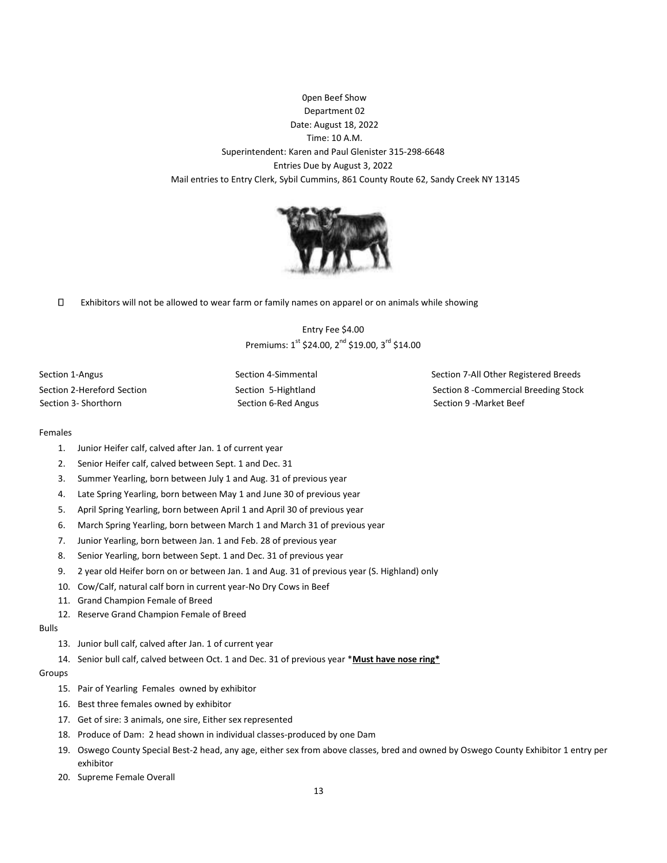0pen Beef Show Department 02 Date: August 18, 2022 Time: 10 A.M. Superintendent: Karen and Paul Glenister 315-298-6648 Entries Due by August 3, 2022 Mail entries to Entry Clerk, Sybil Cummins, 861 County Route 62, Sandy Creek NY 13145



 $\Box$ Exhibitors will not be allowed to wear farm or family names on apparel or on animals while showing

> Entry Fee \$4.00 Premiums: 1<sup>st</sup> \$24.00, 2<sup>nd</sup> \$19.00, 3<sup>rd</sup> \$14.00

Section 3- Shorthorn Section 6-Red Angus Section 9 - Market Beef Section 9 - Market Beef

Section 1-Angus **Section 2-Simmental** Section 7-All Other Registered Breeds Section 2-Hereford Section Section Section 5-Hightland Section 8 -Commercial Breeding Stock

## Females

- 1. Junior Heifer calf, calved after Jan. 1 of current year
- 2. Senior Heifer calf, calved between Sept. 1 and Dec. 31
- 3. Summer Yearling, born between July 1 and Aug. 31 of previous year
- 4. Late Spring Yearling, born between May 1 and June 30 of previous year
- 5. April Spring Yearling, born between April 1 and April 30 of previous year
- 6. March Spring Yearling, born between March 1 and March 31 of previous year
- 7. Junior Yearling, born between Jan. 1 and Feb. 28 of previous year
- 8. Senior Yearling, born between Sept. 1 and Dec. 31 of previous year
- 9. 2 year old Heifer born on or between Jan. 1 and Aug. 31 of previous year (S. Highland) only
- 10. Cow/Calf, natural calf born in current year-No Dry Cows in Beef
- 11. Grand Champion Female of Breed
- 12. Reserve Grand Champion Female of Breed

## Bulls

- 13. Junior bull calf, calved after Jan. 1 of current year
- 14. Senior bull calf, calved between Oct. 1 and Dec. 31 of previous year \***Must have nose ring\***

## Groups

- 15. Pair of Yearling Females owned by exhibitor
- 16. Best three females owned by exhibitor
- 17. Get of sire: 3 animals, one sire, Either sex represented
- 18. Produce of Dam: 2 head shown in individual classes-produced by one Dam
- 19. Oswego County Special Best-2 head, any age, either sex from above classes, bred and owned by Oswego County Exhibitor 1 entry per exhibitor
- 20. Supreme Female Overall